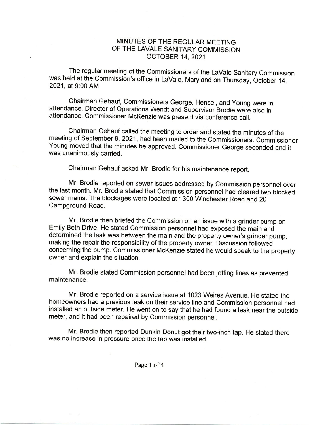## MINUTES OF THE REGULAR MEETING OF THE LAVALE SANITARY COMMISSION OCTOBER 14, 2021

The regular meeting of the Commissioners of the LaVale Sanitary Commission was held at the Commission's office in LaVale, Maryland on Thursday, October 14, 2021, at 9:00AM.

Chairman Gehauf, Commissioners George, Hensel, and Young were in attendance. Director of Operations Wendt and Supervisor Brodie were also in attendance. Commissioner McKenzie was present via conference call.

Chairman Gehauf called the meeting to order and stated the minutes of the meeting of September 9, 2021, had been mailed to the Commissioners. Commissioner Young moved that the minutes be approved. Commissioner George seconded and it was unanimously carried.

Chairman Gehauf asked Mr. Brodie for his maintenance report.

Mr. Brodie reported on sewer issues addressed by Commission personnel over the last month. Mr. Brodie stated that Commission personnel had cleared two blocked sewer mains. The blockages were located at 1300 Winchester Road and 20 Campground Road.

Mr. Brodie then briefed the Commission on an issue with a grinder pump on Emily Beth Drive. He stated Commission personnel had exposed the main and determined the leak was between the main and the property owner's grinder pump, making the repair the responsibility of the property owner. Discussion followed concerning the pump. Commissioner McKenzie stated he would speak to the properly owner and explain the situation.

Mr. Brodie stated Commission personnel had been jetting lines as prevented maintenance.

Mr. Brodie reported on a service issue at 1023 Weires Avenue. He stated the homeowners had a previous leak on their service line and Commission personnel had installed an outside meter. He went on to say that he had found a leak near the outside meter, and it had been repaired by Commission personnel.

Mr. Brodie then reported Dunkin Donut got their two-inch tap. He stated there was no increase in pressure once the tap was installed.

Page 1 of 4

 $\alpha$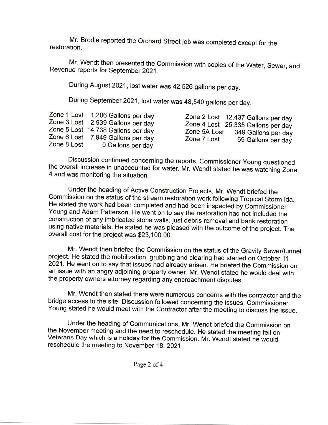Mr. Brodie reported the Orchard Street job was completed except for the restoration.

Mr. Wendt then presented the Commission with copies of the Water, Sewer, and Revenue reports for September 2021.

During August 2021, lost water was 42,526 gallons per day.

During September 2021, lost water was 48,540 gallons per day.

Discussion continued concerning the reports. Commissioner Young questioned the overall increase in unaccounted for water. Mr. Wendt stated he was watching Zone <sup>4</sup> and was monitoring the situation.

Under the heading of Active Construction Projects, Mr. Wendt briefed the Commission on the status of the stream restoration work following Tropical Storm Ida. He stated the work had been completed and had been inspected by Commissioner Young and Adam Patterson. He went on to say the restoration had not included the construction of any imbricated stone walls, just debris removal and bank restoration using native materials. He stated he was pleased with the outcome of the project. The overall cost for the project was \$23,100.00.

Mr. Wendt then briefed the Commission on the status of the Gravity Sewer/tunnel<br>project. He stated the mobilization, grubbing and clearing had started on October 11, 2021. He went on to say that issues had already arisen. He briefed the Commission on an issue with an angry adjoining property owner. Mr. Wendt stated he would deal with the property owners attorney regarding any encroachment disputes.

Mr. Wendt then stated there were numerous concerns with the contractor and the bridge access to the site. Discussion followed concerning the issues. Commissioner Young stated he would meet with the Contractor after the meeting to discuss the issue.

Under the heading of Communications, Mr. Wendt briefed the Commission on the November meeting and the need to reschedule. He stated the meeting fell on Veterans Day which is a holiday for the Commission. Mr. Wendt stated he would reschedule the meeting to November 18, 2021.

Page 2 of 4